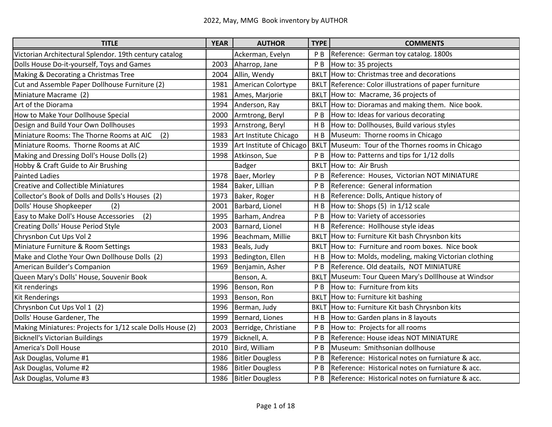| <b>TITLE</b>                                               | <b>YEAR</b> | <b>AUTHOR</b>            | <b>TYPE</b>    | <b>COMMENTS</b>                                    |
|------------------------------------------------------------|-------------|--------------------------|----------------|----------------------------------------------------|
| Victorian Architectural Splendor. 19th century catalog     |             | Ackerman, Evelyn         | P <sub>B</sub> | Reference: German toy catalog. 1800s               |
| Dolls House Do-it-yourself, Toys and Games                 | 2003        | Aharrop, Jane            | PB             | How to: 35 projects                                |
| Making & Decorating a Christmas Tree                       | 2004        | Allin, Wendy             | <b>BKLT</b>    | How to: Christmas tree and decorations             |
| Cut and Assemble Paper Dollhouse Furniture (2)             | 1981        | American Colortype       | <b>BKLT</b>    | Reference: Color illustrations of paper furniture  |
| Miniature Macrame (2)                                      | 1981        | Ames, Marjorie           | <b>BKLT</b>    | How to: Macrame, 36 projects of                    |
| Art of the Diorama                                         | 1994        | Anderson, Ray            | <b>BKLT</b>    | How to: Dioramas and making them. Nice book.       |
| How to Make Your Dollhouse Special                         | 2000        | Armtrong, Beryl          | P <sub>B</sub> | How to: Ideas for various decorating               |
| Design and Build Your Own Dollhouses                       | 1993        | Arnstrong, Beryl         | H <sub>B</sub> | How to: Dollhouses, Build various styles           |
| Miniature Rooms: The Thorne Rooms at AIC<br>(2)            | 1983        | Art Institute Chicago    | H B            | Museum: Thorne rooms in Chicago                    |
| Miniature Rooms. Thorne Rooms at AIC                       | 1939        | Art Institute of Chicago | <b>BKLT</b>    | Museum: Tour of the Thornes rooms in Chicago       |
| Making and Dressing Doll's House Dolls (2)                 | 1998        | Atkinson, Sue            | P <sub>B</sub> | How to: Patterns and tips for 1/12 dolls           |
| Hobby & Craft Guide to Air Brushing                        |             | <b>Badger</b>            | <b>BKLT</b>    | How to: Air Brush                                  |
| <b>Painted Ladies</b>                                      | 1978        | Baer, Morley             | P <sub>B</sub> | Reference: Houses, Victorian NOT MINIATURE         |
| <b>Creative and Collectible Miniatures</b>                 | 1984        | Baker, Lillian           | P <sub>B</sub> | Reference: General information                     |
| Collector's Book of Dolls and Dolls's Houses (2)           | 1973        | Baker, Roger             | H <sub>B</sub> | Reference: Dolls, Antique history of               |
| Dolls' House Shopkeeper<br>(2)                             | 2001        | Barbard, Lionel          | H B            | How to: Shops (5) in 1/12 scale                    |
| (2)<br>Easy to Make Doll's House Accessories               | 1995        | Barham, Andrea           | P <sub>B</sub> | How to: Variety of accessories                     |
| Creating Dolls' House Period Style                         | 2003        | Barnard, Lionel          | H B            | Reference: Hollhouse style ideas                   |
| Chrysnbon Cut Ups Vol 2                                    | 1996        | Beachmam, Millie         | <b>BKLT</b>    | How to: Furniture Kit bash Chrysnbon kits          |
| Miniature Furniture & Room Settings                        | 1983        | Beals, Judy              | <b>BKLT</b>    | How to: Furniture and room boxes. Nice book        |
| Make and Clothe Your Own Dollhouse Dolls (2)               | 1993        | Bedington, Ellen         | H B            | How to: Molds, modeling, making Victorian clothing |
| American Builder's Companion                               | 1969        | Benjamin, Asher          | P <sub>B</sub> | Reference. Old deatails, NOT MINIATURE             |
| Queen Mary's Dolls' House, Souvenir Book                   |             | Benson, A.               | <b>BKLT</b>    | Museum: Tour Queen Mary's Dolllhouse at Windsor    |
| Kit renderings                                             | 1996        | Benson, Ron              | P <sub>B</sub> | How to: Furniture from kits                        |
| <b>Kit Renderings</b>                                      | 1993        | Benson, Ron              | <b>BKLT</b>    | How to: Furniture kit bashing                      |
| Chrysnbon Cut Ups Vol 1 (2)                                | 1996        | Berman, Judy             | <b>BKLT</b>    | How to: Furniture Kit bash Chrysnbon kits          |
| Dolls' House Gardener, The                                 | 1999        | Bernard, Liones          | H <sub>B</sub> | How to: Garden plans in 8 layouts                  |
| Making Miniatures: Projects for 1/12 scale Dolls House (2) | 2003        | Berridge, Christiane     | P <sub>B</sub> | How to: Projects for all rooms                     |
| <b>Bicknell's Victorian Buildings</b>                      | 1979        | Bicknell, A.             | P <sub>B</sub> | Reference: House ideas NOT MINIATURE               |
| America's Doll House                                       | 2010        | Bird, William            | P <sub>B</sub> | Museum: Smithsonian dollhouse                      |
| Ask Douglas, Volume #1                                     | 1986        | <b>Bitler Dougless</b>   | P B            | Reference: Historical notes on furniature & acc.   |
| Ask Douglas, Volume #2                                     | 1986        | <b>Bitler Dougless</b>   | P <sub>B</sub> | Reference: Historical notes on furniature & acc.   |
| Ask Douglas, Volume #3                                     | 1986        | <b>Bitler Dougless</b>   | P <sub>B</sub> | Reference: Historical notes on furniature & acc.   |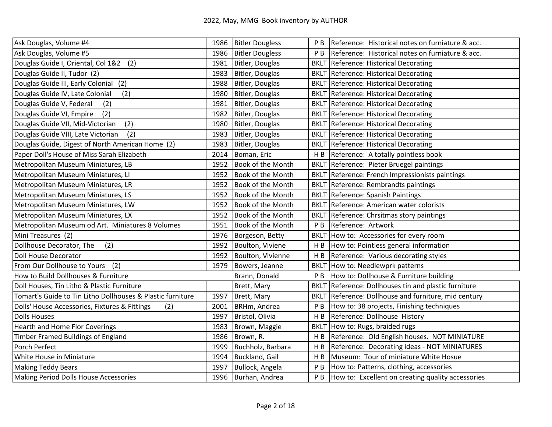| Ask Douglas, Volume #4                                     | 1986 | <b>Bitler Dougless</b>   | P B            | Reference: Historical notes on furniature & acc.     |
|------------------------------------------------------------|------|--------------------------|----------------|------------------------------------------------------|
| Ask Douglas, Volume #5                                     | 1986 | <b>Bitler Dougless</b>   | P <sub>B</sub> | Reference: Historical notes on furniature & acc.     |
| Douglas Guide I, Oriental, Col 1&2<br>(2)                  | 1981 | Bitler, Douglas          |                | <b>BKLT Reference: Historical Decorating</b>         |
| Douglas Guide II, Tudor (2)                                | 1983 | Bitler, Douglas          |                | <b>BKLT</b> Reference: Historical Decorating         |
| Douglas Guide III, Early Colonial (2)                      | 1988 | Bitler, Douglas          |                | <b>BKLT Reference: Historical Decorating</b>         |
| (2)<br>Douglas Guide IV, Late Colonial                     | 1980 | Bitler, Douglas          |                | <b>BKLT Reference: Historical Decorating</b>         |
| Douglas Guide V, Federal<br>(2)                            | 1981 | Bitler, Douglas          |                | <b>BKLT</b> Reference: Historical Decorating         |
| (2)<br>Douglas Guide VI, Empire                            | 1982 | Bitler, Douglas          |                | <b>BKLT</b> Reference: Historical Decorating         |
| (2)<br>Douglas Guide VII, Mid-Victorian                    | 1980 | Bitler, Douglas          |                | <b>BKLT Reference: Historical Decorating</b>         |
| (2)<br>Douglas Guide VIII, Late Victorian                  | 1983 | Bitler, Douglas          |                | <b>BKLT</b> Reference: Historical Decorating         |
| Douglas Guide, Digest of North American Home (2)           | 1983 | Bitler, Douglas          |                | <b>BKLT Reference: Historical Decorating</b>         |
| Paper Doll's House of Miss Sarah Elizabeth                 | 2014 | Boman, Eric              | H <sub>B</sub> | Reference: A totally pointless book                  |
| Metropolitan Museum Miniatures, LB                         | 1952 | Book of the Month        |                | BKLT Reference: Pieter Bruegel paintings             |
| Metropolitan Museum Miniatures, LI                         | 1952 | Book of the Month        |                | BKLT Reference: French Impressionists paintings      |
| Metropolitan Museum Miniatures, LR                         | 1952 | <b>Book of the Month</b> |                | <b>BKLT</b> Reference: Rembrandts paintings          |
| Metropolitan Museum Miniatures, LS                         | 1952 | <b>Book of the Month</b> |                | <b>BKLT</b> Reference: Spanish Paintings             |
| Metropolitan Museum Miniatures, LW                         | 1952 | <b>Book of the Month</b> |                | <b>BKLT Reference: American water colorists</b>      |
| Metropolitan Museum Miniatures, LX                         | 1952 | Book of the Month        |                | BKLT Reference: Chrsitmas story paintings            |
| Metropolitan Museum od Art. Miniatures 8 Volumes           | 1951 | Book of the Month        | P B            | Reference: Artwork                                   |
| Mini Treasures (2)                                         | 1976 | Borgeson, Betty          |                | BKLT How to: Accessories for every room              |
| Dollhouse Decorator, The<br>(2)                            | 1992 | Boulton, Viviene         | H <sub>B</sub> | How to: Pointless general information                |
| Doll House Decorator                                       | 1992 | Boulton, Vivienne        | H <sub>B</sub> | Reference: Various decorating styles                 |
| From Our Dollhouse to Yours<br>(2)                         | 1979 | Bowers, Jeanne           |                | BKLT How to: Needlewprk patterns                     |
| How to Build Dollhouses & Furniture                        |      | Brann, Donald            | P B            | How to: Dollhouse & Furniture building               |
| Doll Houses, Tin Litho & Plastic Furniture                 |      | Brett, Mary              |                | BKLT Reference: Dollhouses tin and plastic furniture |
| Tomart's Guide to Tin Litho Dollhouses & Plastic furniture | 1997 | Brett, Mary              |                | BKLT Reference: Dollhouse and furniture, mid century |
| Dolls' House Accessories, Fixtures & Fittings<br>(2)       | 2001 | BRHm, Andrea             | P <sub>B</sub> | How to: 38 projects, Finishing techniques            |
| <b>Dolls Houses</b>                                        | 1997 | Bristol, Olivia          | H <sub>B</sub> | Reference: Dollhouse History                         |
| <b>Hearth and Home Flor Coverings</b>                      | 1983 | Brown, Maggie            |                | BKLT How to: Rugs, braided rugs                      |
| Timber Framed Buildings of England                         | 1986 | Brown, R.                | H <sub>B</sub> | Reference: Old English houses. NOT MINIATURE         |
| Porch Perfect                                              | 1999 | Buchholz, Barbara        | H B            | Reference: Decorating ideas - NOT MINIATURES         |
| White House in Miniature                                   | 1994 | Buckland, Gail           | H <sub>B</sub> | Museum: Tour of miniature White Hosue                |
| <b>Making Teddy Bears</b>                                  | 1997 | Bullock, Angela          | P <sub>B</sub> | How to: Patterns, clothing, accessories              |
| Making Period Dolls House Accessories                      | 1996 | Burhan, Andrea           | P B            | How to: Excellent on creating quality accessories    |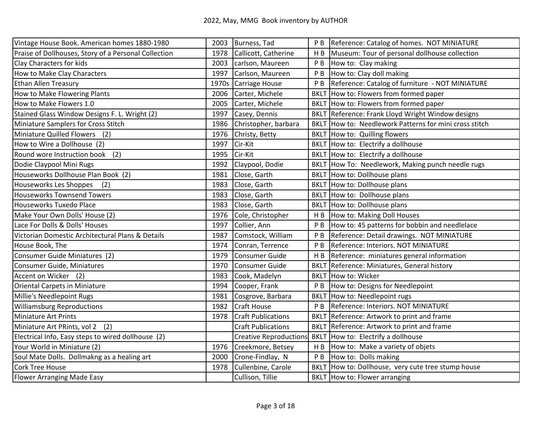| Vintage House Book. American homes 1880-1980         |       | 2003 Burness, Tad             | P <sub>B</sub> | Reference: Catalog of homes. NOT MINIATURE        |
|------------------------------------------------------|-------|-------------------------------|----------------|---------------------------------------------------|
| Praise of Dollhouses, Story of a Personal Collection | 1978  | Callicott, Catherine          | H <sub>B</sub> | Museum: Tour of personal dollhouse collection     |
| Clay Characters for kids                             | 2003  | carlson, Maureen              | P <sub>B</sub> | How to: Clay making                               |
| How to Make Clay Characters                          | 1997  | Carlson, Maureen              | P <sub>B</sub> | How to: Clay doll making                          |
| <b>Ethan Allen Treasury</b>                          | 1970s | Carriage House                | P <sub>B</sub> | Reference: Catalog of furniture - NOT MINIATURE   |
| How to Make Flowering Plants                         | 2006  | Carter, Michele               | <b>BKLT</b>    | How to: Flowers from formed paper                 |
| How to Make Flowers 1.0                              | 2005  | Carter, Michele               | <b>BKLT</b>    | How to: Flowers from formed paper                 |
| Stained Glass Window Designs F. L. Wright (2)        | 1997  | Casey, Dennis                 | <b>BKLT</b>    | Reference: Frank Lloyd Wright Window designs      |
| Miniature Samplers for Cross Stitch                  | 1986  | Christopher, barbara          | <b>BKLT</b>    | How to: Needlework Patterns for mini cross stitch |
| Miniature Quilled Flowers (2)                        | 1976  | Christy, Betty                |                | BKLT How to: Quilling flowers                     |
| How to Wire a Dollhouse (2)                          | 1997  | Cir-Kit                       |                | BKLT How to: Electrify a dollhouse                |
| Round wore Instruction book<br>(2)                   | 1995  | Cir-Kit                       |                | BKLT How to: Electrify a dollhouse                |
| Dodie Claypool Mini Rugs                             | 1992  | Claypool, Dodie               | <b>BKLT</b>    | How To: Needlework, Making punch needle rugs      |
| Houseworks Dollhouse Plan Book (2)                   | 1981  | Close, Garth                  | <b>BKLT</b>    | How to: Dollhouse plans                           |
| Houseworks Les Shoppes<br>(2)                        | 1983  | Close, Garth                  |                | BKLT How to: Dollhouse plans                      |
| <b>Houseworks Townsend Towers</b>                    | 1983  | Close, Garth                  | <b>BKLT</b>    | How to: Dollhouse plans                           |
| Houseworks Tuxedo Place                              | 1983  | Close, Garth                  | <b>BKLT</b>    | How to: Dollhouse plans                           |
| Make Your Own Dolls' House (2)                       | 1976  | Cole, Christopher             | H B            | How to: Making Doll Houses                        |
| Lace For Dolls & Dolls' Houses                       | 1997  | Collier, Ann                  | P <sub>B</sub> | How to: 45 patterns for bobbin and needlelace     |
| Victorian Domestic Architectural Plans & Details     | 1987  | Comstock, William             | P <sub>B</sub> | Reference: Detail drawings. NOT MINIATURE         |
| House Book, The                                      | 1974  | Conran, Terrence              | P <sub>B</sub> | Reference: Interiors. NOT MINIATURE               |
| Consumer Guide Miniatures (2)                        | 1979  | Consumer Guide                | H <sub>B</sub> | Reference: miniatures general information         |
| Consumer Guide, Miniatures                           | 1970  | Consumer Guide                | <b>BKLT</b>    | Reference: Miniatures, General history            |
| Accent on Wicker (2)                                 | 1983  | Cook, Madelyn                 | <b>BKLT</b>    | How to: Wicker                                    |
| Oriental Carpets in Miniature                        | 1994  | Cooper, Frank                 | P <sub>B</sub> | How to: Designs for Needlepoint                   |
| Millie's Needlepoint Rugs                            | 1981  | Cosgrove, Barbara             | <b>BKLT</b>    | How to: Needlepoint rugs                          |
| <b>Williamsburg Reproductions</b>                    | 1982  | <b>Craft House</b>            | P <sub>B</sub> | Reference: Interiors. NOT MINIATURE               |
| <b>Miniature Art Prints</b>                          | 1978  | <b>Craft Publications</b>     | <b>BKLT</b>    | Reference: Artwork to print and frame             |
| Miniature Art PRints, vol 2 (2)                      |       | <b>Craft Publications</b>     | <b>BKLT</b>    | Reference: Artwork to print and frame             |
| Electrical Info, Easy steps to wired dollhouse (2)   |       | <b>Creative Reproductions</b> | <b>BKLT</b>    | How to: Electrify a dollhouse                     |
| Your World in Miniature (2)                          | 1976  | Creekmore, Betsey             | H B            | How to: Make a variety of objets                  |
| Soul Mate Dolls. Dollmakng as a healing art          | 2000  | Crone-Findlay, N              | P <sub>B</sub> | How to: Dolls making                              |
| <b>Cork Tree House</b>                               | 1978  | Cullenbine, Carole            | <b>BKLT</b>    | How to: Dollhouse, very cute tree stump house     |
| <b>Flower Arranging Made Easy</b>                    |       | Cullison, Tillie              |                | BKLT How to: Flower arranging                     |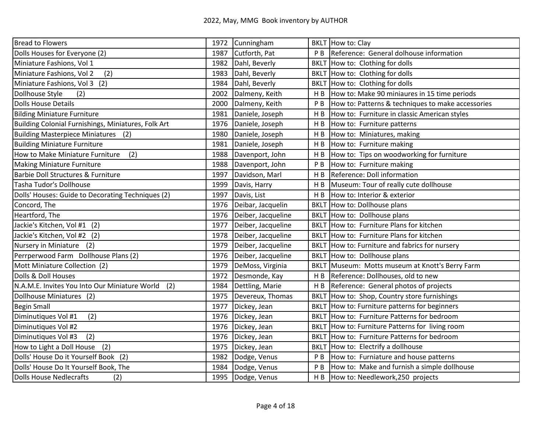| <b>Bread to Flowers</b>                              | 1972 | Cunningham         |                | BKLT How to: Clay                                 |
|------------------------------------------------------|------|--------------------|----------------|---------------------------------------------------|
| Dolls Houses for Everyone (2)                        | 1987 | Cutforth, Pat      | P B            | Reference: General dolhouse information           |
| Miniature Fashions, Vol 1                            | 1982 | Dahl, Beverly      |                | BKLT How to: Clothing for dolls                   |
| (2)<br>Miniature Fashions, Vol 2                     | 1983 | Dahl, Beverly      |                | BKLT How to: Clothing for dolls                   |
| Miniature Fashions, Vol 3 (2)                        | 1984 | Dahl, Beverly      | <b>BKLT</b>    | How to: Clothing for dolls                        |
| Dollhouse Style<br>(2)                               | 2002 | Dalmeny, Keith     | H B            | How to: Make 90 miniaures in 15 time periods      |
| <b>Dolls House Details</b>                           | 2000 | Dalmeny, Keith     | P <sub>B</sub> | How to: Patterns & techniques to make accessories |
| <b>Bilding Miniature Furniture</b>                   | 1981 | Daniele, Joseph    | H B            | How to: Furniture in classic American styles      |
| Building Colonial Furnishings, Miniatures, Folk Art  | 1976 | Daniele, Joseph    | H B            | How to: Furniture patterns                        |
| <b>Building Masterpiece Miniatures</b> (2)           | 1980 | Daniele, Joseph    | H B            | How to: Miniatures, making                        |
| <b>Building Miniature Furniture</b>                  | 1981 | Daniele, Joseph    | H B            | How to: Furniture making                          |
| How to Make Miniature Furniture<br>(2)               | 1988 | Davenport, John    | H B            | How to: Tips on woodworking for furniture         |
| <b>Making Miniature Furniture</b>                    | 1988 | Davenport, John    | P <sub>B</sub> | How to: Furniture making                          |
| Barbie Doll Structures & Furniture                   | 1997 | Davidson, Marl     | H <sub>B</sub> | Reference: Doll information                       |
| Tasha Tudor's Dollhouse                              | 1999 | Davis, Harry       | H <sub>B</sub> | Museum: Tour of really cute dollhouse             |
| Dolls' Houses: Guide to Decorating Techniques (2)    | 1997 | Davis, List        | H B            | How to: Interior & exterior                       |
| Concord, The                                         | 1976 | Deibar, Jacquelin  | <b>BKLT</b>    | How to: Dollhouse plans                           |
| Heartford, The                                       | 1976 | Deiber, Jacqueline | <b>BKLT</b>    | How to: Dollhouse plans                           |
| Jackie's Kitchen, Vol #1 (2)                         | 1977 | Deiber, Jacqueline |                | BKLT How to: Furniture Plans for kitchen          |
| Jackie's Kitchen, Vol #2 (2)                         | 1978 | Deiber, Jacqueline |                | BKLT How to: Furniture Plans for kitchen          |
| Nursery in Miniature (2)                             | 1979 | Deiber, Jacqueline |                | BKLT How to: Furniture and fabrics for nursery    |
| Perrperwood Farm Dollhouse Plans (2)                 | 1976 | Deiber, Jacqueline | <b>BKLT</b>    | How to: Dollhouse plans                           |
| Mott Miniature Collection (2)                        | 1979 | DeMoss, Virginia   | <b>BKLT</b>    | Museum: Motts museum at Knott's Berry Farm        |
| Dolls & Doll Houses                                  | 1972 | Desmonde, Kay      | H B            | Reference: Dollhouses, old to new                 |
| N.A.M.E. Invites You Into Our Miniature World<br>(2) | 1984 | Dettling, Marie    | H <sub>B</sub> | Reference: General photos of projects             |
| Dollhouse Miniatures (2)                             | 1975 | Devereux, Thomas   | <b>BKLT</b>    | How to: Shop, Country store furnishings           |
| <b>Begin Small</b>                                   | 1977 | Dickey, Jean       | <b>BKLT</b>    | How to: Furniture patterns for beginners          |
| (2)<br>Diminutiques Vol #1                           | 1976 | Dickey, Jean       | <b>BKLT</b>    | How to: Furniture Patterns for bedroom            |
| Diminutiques Vol #2                                  | 1976 | Dickey, Jean       |                | BKLT How to: Furniture Patterns for living room   |
| (2)<br>Diminutiques Vol #3                           | 1976 | Dickey, Jean       |                | BKLT How to: Furniture Patterns for bedroom       |
| How to Light a Doll House (2)                        | 1975 | Dickey, Jean       |                | BKLT How to: Electrify a dollhouse                |
| Dolls' House Do it Yourself Book (2)                 | 1982 | Dodge, Venus       | P B            | How to: Furniature and house patterns             |
| Dolls' House Do It Yourself Book, The                | 1984 | Dodge, Venus       | P <sub>B</sub> | How to: Make and furnish a simple dollhouse       |
| <b>Dolls House Nedlecrafts</b><br>(2)                | 1995 | Dodge, Venus       | H <sub>B</sub> | How to: Needlework, 250 projects                  |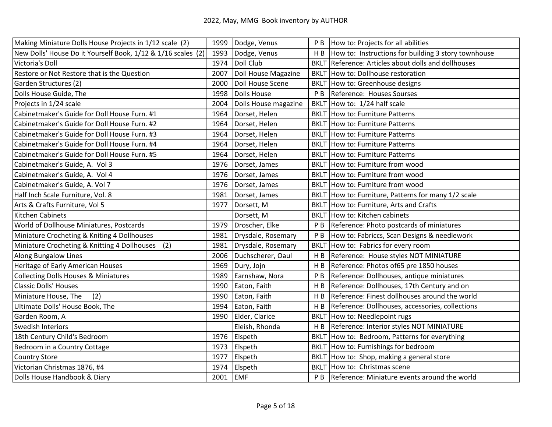| Making Miniature Dolls House Projects in 1/12 scale (2)      | 1999 | Dodge, Venus         | P <sub>B</sub> | How to: Projects for all abilities                  |
|--------------------------------------------------------------|------|----------------------|----------------|-----------------------------------------------------|
| New Dolls' House Do it Yourself Book, 1/12 & 1/16 scales (2) | 1993 | Dodge, Venus         | H <sub>B</sub> | How to: Instructions for building 3 story townhouse |
| Victoria's Doll                                              | 1974 | Doll Club            |                | BKLT Reference: Articles about dolls and dollhouses |
| Restore or Not Restore that is the Question                  | 2007 | Doll House Magazine  |                | BKLT How to: Dollhouse restoration                  |
| Garden Structures (2)                                        | 2000 | Doll House Scene     |                | BKLT How to: Greenhouse designs                     |
| Dolls House Guide, The                                       | 1998 | Dolls House          | P <sub>B</sub> | Reference: Houses Sourses                           |
| Projects in 1/24 scale                                       | 2004 | Dolls House magazine |                | BKLT How to: 1/24 half scale                        |
| Cabinetmaker's Guide for Doll House Furn. #1                 | 1964 | Dorset, Helen        |                | <b>BKLT</b> How to: Furniture Patterns              |
| Cabinetmaker's Guide for Doll House Furn. #2                 | 1964 | Dorset, Helen        |                | <b>BKLT</b> How to: Furniture Patterns              |
| Cabinetmaker's Guide for Doll House Furn. #3                 | 1964 | Dorset, Helen        |                | <b>BKLT</b> How to: Furniture Patterns              |
| Cabinetmaker's Guide for Doll House Furn. #4                 | 1964 | Dorset, Helen        |                | <b>BKLT</b> How to: Furniture Patterns              |
| Cabinetmaker's Guide for Doll House Furn. #5                 | 1964 | Dorset, Helen        |                | <b>BKLT</b> How to: Furniture Patterns              |
| Cabinetmaker's Guide, A. Vol 3                               | 1976 | Dorset, James        |                | BKLT How to: Furniture from wood                    |
| Cabinetmaker's Guide, A. Vol 4                               | 1976 | Dorset, James        |                | BKLT How to: Furniture from wood                    |
| Cabinetmaker's Guide, A. Vol 7                               | 1976 | Dorset, James        |                | BKLT How to: Furniture from wood                    |
| Half Inch Scale Furniture, Vol. 8                            | 1981 | Dorset, James        |                | BKLT How to: Furniture, Patterns for many 1/2 scale |
| Arts & Crafts Furniture, Vol 5                               | 1977 | Dorsett, M           | <b>BKLT</b>    | How to: Furniture, Arts and Crafts                  |
| Kitchen Cabinets                                             |      | Dorsett, M           | <b>BKLT</b>    | How to: Kitchen cabinets                            |
| World of Dollhouse Miniatures, Postcards                     | 1979 | Droscher, Elke       | P <sub>B</sub> | Reference: Photo postcards of miniatures            |
| Miniature Crocheting & Kniting 4 Dollhouses                  | 1981 | Drysdale, Rosemary   | P <sub>B</sub> | How to: Fabriccs, Scan Designs & needlework         |
| Miniature Crocheting & Knitting 4 Dollhouses<br>(2)          | 1981 | Drysdale, Rosemary   | <b>BKLT</b>    | How to: Fabrics for every room                      |
| Along Bungalow Lines                                         | 2006 | Duchscherer, Oaul    | H B            | Reference: House styles NOT MINIATURE               |
| Heritage of Early American Houses                            | 1969 | Dury, Jojn           | H B            | Reference: Photos of65 pre 1850 houses              |
| <b>Collecting Dolls Houses &amp; Miniatures</b>              | 1989 | Earnshaw, Nora       | P <sub>B</sub> | Reference: Dollhouses, antique miniatures           |
| <b>Classic Dolls' Houses</b>                                 | 1990 | Eaton, Faith         | H B            | Reference: Dollhouses, 17th Century and on          |
| (2)<br>Miniature House, The                                  | 1990 | Eaton, Faith         | H B            | Reference: Finest dollhouses around the world       |
| Ultimate Dolls' House Book, The                              | 1994 | Eaton, Faith         | H B            | Reference: Dollhouses, accessories, collections     |
| Garden Room, A                                               | 1990 | Elder, Clarice       | <b>BKLT</b>    | How to: Needlepoint rugs                            |
| <b>Swedish Interiors</b>                                     |      | Eleish, Rhonda       | H B            | Reference: Interior styles NOT MINIATURE            |
| 18th Century Child's Bedroom                                 | 1976 | Elspeth              |                | BKLT How to: Bedroom, Patterns for everything       |
| Bedroom in a Country Cottage                                 | 1973 | Elspeth              |                | BKLT How to: Furnishings for bedroom                |
| <b>Country Store</b>                                         | 1977 | Elspeth              |                | BKLT How to: Shop, making a general store           |
| Victorian Christmas 1876, #4                                 | 1974 | Elspeth              |                | BKLT How to: Christmas scene                        |
| Dolls House Handbook & Diary                                 | 2001 | <b>EMF</b>           |                | P B Reference: Miniature events around the world    |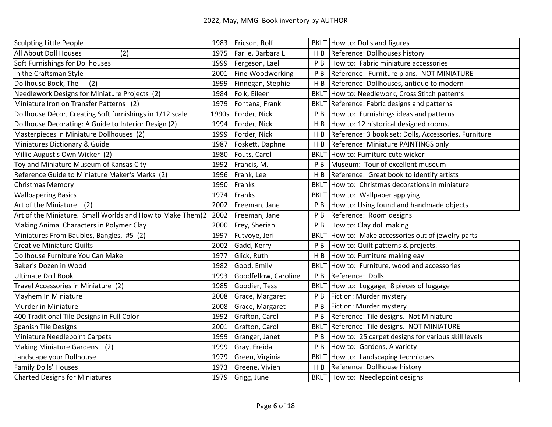| Sculpting Little People                                   | 1983  | Ericson, Rolf        |                | BKLT How to: Dolls and figures                       |
|-----------------------------------------------------------|-------|----------------------|----------------|------------------------------------------------------|
| All About Doll Houses<br>(2)                              | 1975  | Farlie, Barbara L    | H <sub>B</sub> | Reference: Dollhouses history                        |
| Soft Furnishings for Dollhouses                           | 1999  | Fergeson, Lael       | P <sub>B</sub> | How to: Fabric miniature accessories                 |
| In the Craftsman Style                                    | 2001  | Fine Woodworking     | P <sub>B</sub> | Reference: Furniture plans. NOT MINIATURE            |
| Dollhouse Book, The<br>(2)                                | 1999  | Finnegan, Stephie    | H <sub>B</sub> | Reference: Dollhouses, antique to modern             |
| Needlework Designs for Miniature Projects (2)             | 1984  | Folk, Eileen         | <b>BKLT</b>    | How to: Needlework, Cross Stitch patterns            |
| Miniature Iron on Transfer Patterns (2)                   | 1979  | Fontana, Frank       | <b>BKL7</b>    | Reference: Fabric designs and patterns               |
| Dollhouse Décor, Creating Soft furnishings in 1/12 scale  | 1990s | Forder, Nick         | P B            | How to: Furnishings ideas and patterns               |
| Dollhouse Decorating: A Guide to Interior Design (2)      | 1994  | Forder, Nick         | H B            | How to: 12 historical designed rooms.                |
| Masterpieces in Miniature Dollhouses (2)                  | 1999  | Forder, Nick         | H B            | Reference: 3 book set: Dolls, Accessories, Furniture |
| Miniatures Dictionary & Guide                             | 1987  | Foskett, Daphne      | H B            | Reference: Miniature PAINTINGS only                  |
| Millie August's Own Wicker (2)                            | 1980  | Fouts, Carol         | <b>BKLT</b>    | How to: Furniture cute wicker                        |
| Toy and Miniature Museum of Kansas City                   | 1992  | Francis, M.          | P <sub>B</sub> | Museum: Tour of excellent museum                     |
| Reference Guide to Miniature Maker's Marks (2)            | 1996  | Frank, Lee           | H <sub>B</sub> | Reference: Great book to identify artists            |
| <b>Christmas Memory</b>                                   | 1990  | Franks               | <b>BKLT</b>    | How to: Christmas decorations in miniature           |
| <b>Wallpapering Basics</b>                                | 1974  | Franks               | <b>BKLT</b>    | How to: Wallpaper applying                           |
| Art of the Miniature<br>(2)                               | 2002  | Freeman, Jane        | P B            | How to: Using found and handmade objects             |
| Art of the Miniature. Small Worlds and How to Make Them(2 | 2002  | Freeman, Jane        | P B            | Reference: Room designs                              |
| Making Animal Characters in Polymer Clay                  | 2000  | Frey, Sherian        | P <sub>B</sub> | How to: Clay doll making                             |
| Miniatures From Baubles, Bangles, #5 (2)                  | 1997  | Futvoye, Jeri        |                | BKLT How to: Make accessories out of jewelry parts   |
| <b>Creative Miniature Quilts</b>                          | 2002  | Gadd, Kerry          | P B            | How to: Quilt patterns & projects.                   |
| Dollhouse Furniture You Can Make                          | 1977  | Glick, Ruth          | H B            | How to: Furniture making eay                         |
| Baker's Dozen in Wood                                     | 1982  | Good, Emily          | <b>BKLT</b>    | How to: Furniture, wood and accessories              |
| <b>Ultimate Doll Book</b>                                 | 1993  | Goodfellow, Caroline | P B            | Reference: Dolls                                     |
| Travel Accessories in Miniature (2)                       | 1985  | Goodier, Tess        | <b>BKLT</b>    | How to: Luggage, 8 pieces of luggage                 |
| Mayhem In Miniature                                       | 2008  | Grace, Margaret      | P <sub>B</sub> | Fiction: Murder mystery                              |
| Murder in Miniature                                       | 2008  | Grace, Margaret      | P <sub>B</sub> | Fiction: Murder mystery                              |
| 400 Traditional Tile Designs in Full Color                | 1992  | Grafton, Carol       | P <sub>B</sub> | Reference: Tile designs. Not Miniature               |
| <b>Spanish Tile Designs</b>                               | 2001  | Grafton, Carol       | <b>BKLT</b>    | Reference: Tile designs. NOT MINIATURE               |
| Miniature Needlepoint Carpets                             | 1999  | Granger, Janet       | P <sub>B</sub> | How to: 25 carpet designs for various skill levels   |
| <b>Making Miniature Gardens</b><br>(2)                    | 1999  | Gray, Freida         | P <sub>B</sub> | How to: Gardens, A variety                           |
| Landscape your Dollhouse                                  | 1979  | Green, Virginia      | <b>BKLT</b>    | How to: Landscaping techniques                       |
| Family Dolls' Houses                                      | 1973  | Greene, Vivien       | H <sub>B</sub> | Reference: Dollhouse history                         |
| <b>Charted Designs for Miniatures</b>                     | 1979  | Grigg, June          |                | BKLT How to: Needlepoint designs                     |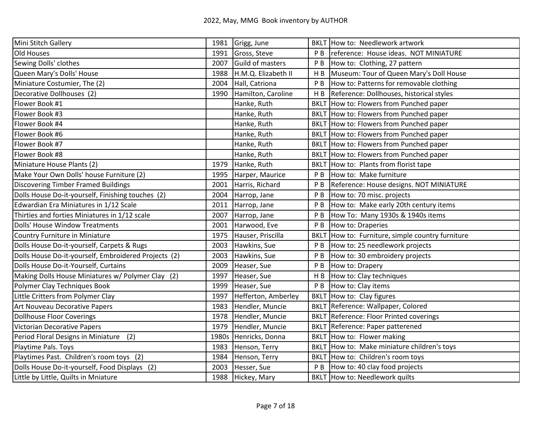| Mini Stitch Gallery                                  | 1981  | Grigg, June             |                | <b>BKLT</b> How to: Needlework artwork      |
|------------------------------------------------------|-------|-------------------------|----------------|---------------------------------------------|
| Old Houses                                           | 1991  | Gross, Steve            | P <sub>B</sub> | reference: House ideas. NOT MINIATURE       |
| Sewing Dolls' clothes                                | 2007  | <b>Guild of masters</b> | P <sub>B</sub> | How to: Clothing, 27 pattern                |
| Queen Mary's Dolls' House                            | 1988  | H.M.Q. Elizabeth II     | H <sub>B</sub> | Museum: Tour of Queen Mary's Doll House     |
| Miniature Costumier, The (2)                         | 2004  | Hall, Catriona          | P <sub>B</sub> | How to: Patterns for removable clothing     |
| Decorative Dollhouses (2)                            | 1990  | Hamilton, Caroline      | H B            | Reference: Dollhouses, historical styles    |
| Flower Book #1                                       |       | Hanke, Ruth             | <b>BKLT</b>    | How to: Flowers from Punched paper          |
| Flower Book #3                                       |       | Hanke, Ruth             |                | BKLT How to: Flowers from Punched paper     |
| Flower Book #4                                       |       | Hanke, Ruth             |                | BKLT How to: Flowers from Punched paper     |
| Flower Book #6                                       |       | Hanke, Ruth             |                | BKLT How to: Flowers from Punched paper     |
| Flower Book #7                                       |       | Hanke, Ruth             |                | BKLT How to: Flowers from Punched paper     |
| Flower Book #8                                       |       | Hanke, Ruth             |                | BKLT How to: Flowers from Punched paper     |
| Miniature House Plants (2)                           | 1979  | Hanke, Ruth             |                | BKLT How to: Plants from florist tape       |
| Make Your Own Dolls' house Furniture (2)             | 1995  | Harper, Maurice         | P <sub>B</sub> | How to: Make furniture                      |
| <b>Discovering Timber Framed Buildings</b>           | 2001  | Harris, Richard         | P <sub>B</sub> | Reference: House designs. NOT MINIATURE     |
| Dolls House Do-it-yourself, Finishing touches (2)    | 2004  | Harrop, Jane            | P <sub>B</sub> | How to: 70 misc. projects                   |
| Edwardian Era Miniatures in 1/12 Scale               | 2011  | Harrop, Jane            | P <sub>B</sub> | How to: Make early 20th century items       |
| Thirties and forties Miniatures in 1/12 scale        | 2007  | Harrop, Jane            | P <sub>B</sub> | How To: Many 1930s & 1940s items            |
| Dolls' House Window Treatments                       | 2001  | Harwood, Eve            | P <sub>B</sub> | How to: Draperies                           |
| Country Furniture in Miniature                       | 1975  | Hauser, Priscilla       | <b>BKLT</b>    | How to: Furniture, simple country furniture |
| Dolls House Do-it-yourself, Carpets & Rugs           | 2003  | Hawkins, Sue            | P <sub>B</sub> | How to: 25 needlework projects              |
| Dolls House Do-it-yourself, Embroidered Projects (2) | 2003  | Hawkins, Sue            | P <sub>B</sub> | How to: 30 embroidery projects              |
| Dolls House Do-it-Yourself, Curtains                 | 2009  | Heaser, Sue             | P <sub>B</sub> | How to: Drapery                             |
| Making Dolls House Miniatures w/ Polymer Clay (2)    | 1997  | Heaser, Sue             | H <sub>B</sub> | How to: Clay techniques                     |
| Polymer Clay Techniques Book                         | 1999  | Heaser, Sue             | P <sub>B</sub> | How to: Clay items                          |
| Little Critters from Polymer Clay                    | 1997  | Hefferton, Amberley     |                | BKLT How to: Clay figures                   |
| Art Nouveau Decorative Papers                        | 1983  | Hendler, Muncie         |                | BKLT Reference: Wallpaper, Colored          |
| <b>Dollhouse Floor Coverings</b>                     | 1978  | Hendler, Muncie         | <b>BKLT</b>    | Reference: Floor Printed coverings          |
| <b>Victorian Decorative Papers</b>                   | 1979  | Hendler, Muncie         |                | <b>BKLT</b> Reference: Paper patterened     |
| (2)<br>Period Floral Designs in Miniature            | 1980s | Henricks, Donna         |                | BKLT How to: Flower making                  |
| Playtime Pals. Toys                                  | 1983  | Henson, Terry           |                | BKLT How to: Make miniature children's toys |
| Playtimes Past. Children's room toys (2)             | 1984  | Henson, Terry           | <b>BKLT</b>    | How to: Children's room toys                |
| Dolls House Do-it-yourself, Food Displays (2)        | 2003  | Hesser, Sue             | P <sub>B</sub> | How to: 40 clay food projects               |
| Little by Little, Quilts in Mniature                 | 1988  | Hickey, Mary            |                | <b>BKLT</b> How to: Needlework quilts       |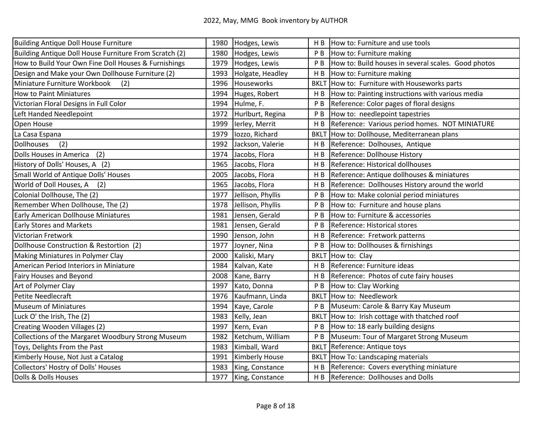| Building Antique Doll House Furniture                  | 1980 | Hodges, Lewis     | H B            | How to: Furniture and use tools                     |
|--------------------------------------------------------|------|-------------------|----------------|-----------------------------------------------------|
| Building Antique Doll House Furniture From Scratch (2) | 1980 | Hodges, Lewis     | P <sub>B</sub> | How to: Furniture making                            |
| How to Build Your Own Fine Doll Houses & Furnishings   | 1979 | Hodges, Lewis     | P <sub>B</sub> | How to: Build houses in several scales. Good photos |
| Design and Make your Own Dollhouse Furniture (2)       | 1993 | Holgate, Headley  | H B            | How to: Furniture making                            |
| Miniature Furniture Workbook<br>(2)                    | 1996 | Houseworks        | <b>BKLT</b>    | How to: Furniture with Houseworks parts             |
| <b>How to Paint Miniatures</b>                         | 1994 | Huges, Robert     | H <sub>B</sub> | How to: Painting instructions with various media    |
| Victorian Floral Designs in Full Color                 | 1994 | Hulme, F.         | P <sub>B</sub> | Reference: Color pages of floral designs            |
| Left Handed Needlepoint                                | 1972 | Hurlburt, Regina  | P <sub>B</sub> | How to: needlepoint tapestries                      |
| Open House                                             | 1999 | lerley, Merrit    | H B            | Reference: Various period homes. NOT MINIATURE      |
| La Casa Espana                                         | 1979 | lozzo, Richard    | <b>BKLT</b>    | How to: Dollhouse, Mediterranean plans              |
| <b>Dollhouses</b><br>(2)                               | 1992 | Jackson, Valerie  | H <sub>B</sub> | Reference: Dolhouses, Antique                       |
| Dolls Houses in America<br>(2)                         | 1974 | Jacobs, Flora     | H <sub>B</sub> | Reference: Dollhouse History                        |
| History of Dolls' Houses, A (2)                        | 1965 | Jacobs, Flora     | H B            | Reference: Historical dollhouses                    |
| Small World of Antique Dolls' Houses                   | 2005 | Jacobs, Flora     | H B            | Reference: Antique dollhouses & miniatures          |
| World of Doll Houses, A (2)                            | 1965 | Jacobs, Flora     | H B            | Reference: Dollhouses History around the world      |
| Colonial Dollhouse, The (2)                            | 1977 | Jellison, Phyllis | P <sub>B</sub> | How to: Make colonial period miniatures             |
| Remember When Dollhouse, The (2)                       | 1978 | Jellison, Phyllis | P <sub>B</sub> | How to: Furniture and house plans                   |
| Early American Dollhouse Miniatures                    | 1981 | Jensen, Gerald    | P <sub>B</sub> | How to: Furniture & accessories                     |
| <b>Early Stores and Markets</b>                        | 1981 | Jensen, Gerald    | P <sub>B</sub> | Reference: Historical stores                        |
| Victorian Fretwork                                     | 1990 | Jenson, John      | H B            | Reference: Fretwork patterns                        |
| Dollhouse Construction & Restortion (2)                | 1977 | Joyner, Nina      | P <sub>B</sub> | How to: Dollhouses & firnishings                    |
| Making Miniatures in Polymer Clay                      | 2000 | Kaliski, Mary     | <b>BKLT</b>    | How to: Clay                                        |
| American Period Interiors in Miniature                 | 1984 | Kalvan, Kate      | H <sub>B</sub> | Reference: Furniture ideas                          |
| <b>Fairy Houses and Beyond</b>                         | 2008 | Kane, Barry       | H B            | Reference: Photos of cute fairy houses              |
| Art of Polymer Clay                                    | 1997 | Kato, Donna       | P <sub>B</sub> | How to: Clay Working                                |
| <b>Petite Needlecraft</b>                              | 1976 | Kaufmann, Linda   | <b>BKLT</b>    | How to: Needlework                                  |
| <b>Museum of Miniatures</b>                            | 1994 | Kaye, Carole      | P B            | Museum: Carole & Barry Kay Museum                   |
| Luck O' the Irish, The (2)                             | 1983 | Kelly, Jean       | <b>BKL1</b>    | How to: Irish cottage with thatched roof            |
| Creating Wooden Villages (2)                           | 1997 | Kern, Evan        | P <sub>B</sub> | How to: 18 early building designs                   |
| Collections of the Margaret Woodbury Strong Museum     | 1982 | Ketchum, William  | P B            | Museum: Tour of Margaret Strong Museum              |
| Toys, Delights From the Past                           | 1983 | Kimball, Ward     | <b>BKLT</b>    | Reference: Antique toys                             |
| Kimberly House, Not Just a Catalog                     | 1991 | Kimberly House    | <b>BKLT</b>    | How To: Landscaping materials                       |
| Collectors' Hostry of Dolls' Houses                    | 1983 | King, Constance   | H <sub>B</sub> | Reference: Covers everything miniature              |
| Dolls & Dolls Houses                                   | 1977 | King, Constance   | H <sub>B</sub> | Reference: Dollhouses and Dolls                     |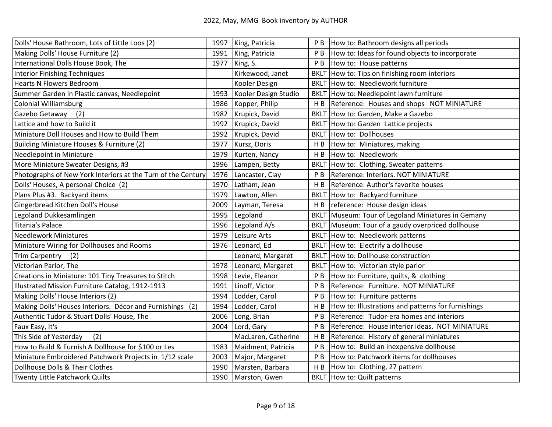| Dolls' House Bathroom, Lots of Little Loos (2)               | 1997 | King, Patricia       | P B            | How to: Bathroom designs all periods               |
|--------------------------------------------------------------|------|----------------------|----------------|----------------------------------------------------|
| Making Dolls' House Furniture (2)                            | 1991 | King, Patricia       | РB             | How to: Ideas for found objects to incorporate     |
| International Dolls House Book, The                          | 1977 | King, S.             | P <sub>B</sub> | How to: House patterns                             |
| Interior Finishing Techniques                                |      | Kirkewood, Janet     | <b>BKLT</b>    | How to: Tips on finishing room interiors           |
| <b>Hearts N Flowers Bedroom</b>                              |      | Kooler Design        |                | <b>BKLT</b> How to: Needlework furniture           |
| Summer Garden in Plastic canvas, Needlepoint                 | 1993 | Kooler Design Studio |                | BKLT How to: Needlepoint lawn furniture            |
| <b>Colonial Williamsburg</b>                                 | 1986 | Kopper, Philip       | H <sub>B</sub> | Reference: Houses and shops NOT MINIATURE          |
| Gazebo Getaway<br>(2)                                        | 1982 | Krupick, David       |                | BKLT How to: Garden, Make a Gazebo                 |
| Lattice and how to Build it                                  | 1992 | Krupick, David       |                | BKLT How to: Garden Lattice projects               |
| Miniature Doll Houses and How to Build Them                  | 1992 | Krupick, David       |                | <b>BKLT</b> How to: Dollhouses                     |
| Building Miniature Houses & Furniture (2)                    | 1977 | Kursz, Doris         | H <sub>B</sub> | How to: Miniatures, making                         |
| Needlepoint in Miniature                                     | 1979 | Kurten, Nancy        | H B            | How to: Needlework                                 |
| More Miniature Sweater Designs, #3                           | 1996 | Lampen, Betty        | <b>BKLT</b>    | How to: Clothing, Sweater patterns                 |
| Photographs of New York Interiors at the Turn of the Century | 1976 | Lancaster, Clay      | P <sub>B</sub> | Reference: Interiors. NOT MINIATURE                |
| Dolls' Houses, A personal Choice (2)                         | 1970 | Latham, Jean         | H <sub>B</sub> | Reference: Author's favorite houses                |
| Plans Plus #3. Backyard items                                | 1979 | Lawton, Allen        |                | BKLT How to: Backyard furniture                    |
| Gingerbread Kitchen Doll's House                             | 2009 | Layman, Teresa       | H B            | reference: House design ideas                      |
| Legoland Dukkesamlingen                                      | 1995 | Legoland             |                | BKLT Museum: Tour of Legoland Miniatures in Gemany |
| <b>Titania's Palace</b>                                      | 1996 | Legoland A/s         |                | BKLT Museum: Tour of a gaudy overpriced dollhouse  |
| Needlework Miniatures                                        | 1979 | Leisure Arts         |                | BKLT How to: Needlework patterns                   |
| Miniature Wiring for Dollhouses and Rooms                    | 1976 | Leonard, Ed          |                | BKLT How to: Electrify a dollhouse                 |
| Trim Carpentry (2)                                           |      | Leonard, Margaret    |                | <b>BKLT</b> How to: Dollhouse construction         |
| Victorian Parlor, The                                        | 1978 | Leonard, Margaret    |                | BKLT How to: Victorian style parlor                |
| Creations in Miniature: 101 Tiny Treasures to Stitch         | 1998 | Levie, Eleanor       | P B            | How to: Furniture, quilts, & clothing              |
| Illustrated Mission Furniture Catalog, 1912-1913             | 1991 | Linoff, Victor       | P <sub>B</sub> | Reference: Furniture. NOT MINIATURE                |
| Making Dolls' House Interiors (2)                            | 1994 | Lodder, Carol        | P <sub>B</sub> | How to: Furniture patterns                         |
| Making Dolls' Houses Interiors. Décor and Furnishings (2)    | 1994 | Lodder, Carol        | H B            | How to: Illustrations and patterns for furnishings |
| Authentic Tudor & Stuart Dolls' House, The                   | 2006 | Long, Brian          | P <sub>B</sub> | Reference: Tudor-era homes and interiors           |
| Faux Easy, It's                                              | 2004 | Lord, Gary           | P <sub>B</sub> | Reference: House interior ideas. NOT MINIATURE     |
| (2)<br>This Side of Yesterday                                |      | MacLaren, Catherine  | H B            | Reference: History of general miniatures           |
| How to Build & Furnish A Dollhouse for \$100 or Les          | 1983 | Maidment, Patricia   | РB             | How to: Build an inexpensive dollhouse             |
| Miniature Embroidered Patchwork Projects in 1/12 scale       | 2003 | Major, Margaret      | P <sub>B</sub> | How to: Patchwork items for dollhouses             |
| Dollhouse Dolls & Their Clothes                              | 1990 | Marsten, Barbara     | H B            | How to: Clothing, 27 pattern                       |
| Twenty Little Patchwork Quilts                               | 1990 | Marston, Gwen        |                | <b>BKLT</b> How to: Quilt patterns                 |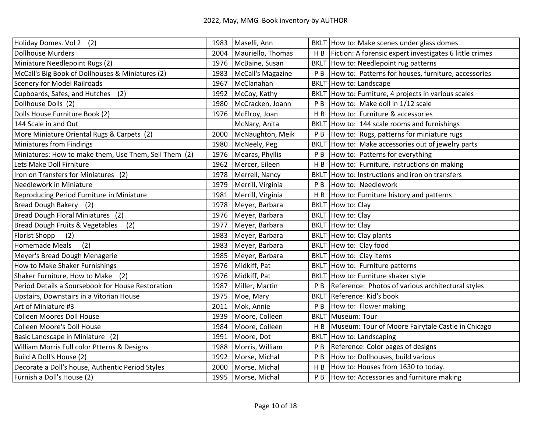| Holiday Domes. Vol 2 (2)                              | 1983 | Maselli, Ann      |                | BKLT How to: Make scenes under glass domes              |
|-------------------------------------------------------|------|-------------------|----------------|---------------------------------------------------------|
| <b>Dollhouse Murders</b>                              | 2004 | Mauriello, Thomas | H B            | Fiction: A forensic expert investigates 6 little crimes |
| Miniature Needlepoint Rugs (2)                        | 1976 | McBaine, Susan    |                | BKLT How to: Needlepoint rug patterns                   |
| McCall's Big Book of Dollhouses & Miniatures (2)      | 1983 | McCall's Magazine | P <sub>B</sub> | How to: Patterns for houses, furniture, accessories     |
| <b>Scenery for Model Railroads</b>                    | 1967 | McClanahan        | <b>BKLT</b>    | How to: Landscape                                       |
| Cupboards, Safes, and Hutches (2)                     | 1992 | McCoy, Kathy      | <b>BKLT</b>    | How to: Furniture, 4 projects in various scales         |
| Dollhouse Dolls (2)                                   | 1980 | McCracken, Joann  | P <sub>B</sub> | How to: Make doll in 1/12 scale                         |
| Dolls House Furniture Book (2)                        | 1976 | McElroy, Joan     | H <sub>B</sub> | How to: Furniture & accessories                         |
| 144 Scale in and Out                                  |      | McNary, Anita     | <b>BKLT</b>    | How to: 144 scale rooms and furnishings                 |
| More Miniature Oriental Rugs & Carpets (2)            | 2000 | McNaughton, Meik  | P B            | How to: Rugs, patterns for miniature rugs               |
| Miniatures from Findings                              | 1980 | McNeely, Peg      | <b>BKLT</b>    | How to: Make accessories out of jewelry parts           |
| Miniatures: How to make them, Use Them, Sell Them (2) | 1976 | Mearas, Phyllis   | P <sub>B</sub> | How to: Patterns for everything                         |
| Lets Make Doll Firniture                              | 1962 | Mercer, Eileen    | H <sub>B</sub> | How to: Furniture, instructions on making               |
| Iron on Transfers for Miniatures (2)                  | 1978 | Merrell, Nancy    | <b>BKLT</b>    | How to: Instructions and iron on transfers              |
| Needlework in Miniature                               | 1979 | Merrill, Virginia | P <sub>B</sub> | How to: Needlework                                      |
| Reproducing Period Furniture in Miniature             | 1981 | Merrill, Virginia | H <sub>B</sub> | How to: Furniture history and patterns                  |
| Bread Dough Bakery (2)                                | 1978 | Meyer, Barbara    |                | BKLT How to: Clay                                       |
| Bread Dough Floral Miniatures (2)                     | 1976 | Meyer, Barbara    |                | BKLT How to: Clay                                       |
| Bread Dough Fruits & Vegetables<br>(2)                | 1977 | Meyer, Barbara    |                | BKLT How to: Clay                                       |
| <b>Florist Shopp</b><br>(2)                           | 1983 | Meyer, Barbara    |                | BKLT How to: Clay plants                                |
| (2)<br>Homemade Meals                                 | 1983 | Meyer, Barbara    |                | BKLT How to: Clay food                                  |
| Meyer's Bread Dough Menagerie                         | 1985 | Meyer, Barbara    |                | BKLT How to: Clay items                                 |
| How to Make Shaker Furnishings                        | 1976 | Midkiff, Pat      |                | BKLT How to: Furniture patterns                         |
| Shaker Furniture, How to Make<br>(2)                  | 1976 | Midkiff, Pat      |                | BKLT How to: Furniture shaker style                     |
| Period Details a Soursebook for House Restoration     | 1987 | Miller, Martin    | P <sub>B</sub> | Reference: Photos of various architectural styles       |
| Upstairs, Downstairs in a Vitorian House              | 1975 | Moe, Mary         | <b>BKLT</b>    | Reference: Kid's book                                   |
| Art of Miniature #3                                   | 2011 | Mok, Annie        | P <sub>B</sub> | How to: Flower making                                   |
| <b>Colleen Moores Doll House</b>                      | 1939 | Moore, Colleen    | <b>BKLT</b>    | Museum: Tour                                            |
| Colleen Moore's Doll House                            | 1984 | Moore, Colleen    | H B            | Museum: Tour of Moore Fairytale Castle in Chicago       |
| Basic Landscape in Miniature (2)                      | 1991 | Moore, Dot        | <b>BKLT</b>    | How to: Landscaping                                     |
| William Morris Full color Ptterns & Designs           | 1988 | Morris, William   | P <sub>B</sub> | Reference: Color pages of designs                       |
| Build A Doll's House (2)                              | 1992 | Morse, Michal     | P <sub>B</sub> | How to: Dollhouses, build various                       |
| Decorate a Doll's house, Authentic Period Styles      | 2000 | Morse, Michal     | H B            | How to: Houses from 1630 to today.                      |
| Furnish a Doll's House (2)                            | 1995 | Morse, Michal     | P <sub>B</sub> | How to: Accessories and furniture making                |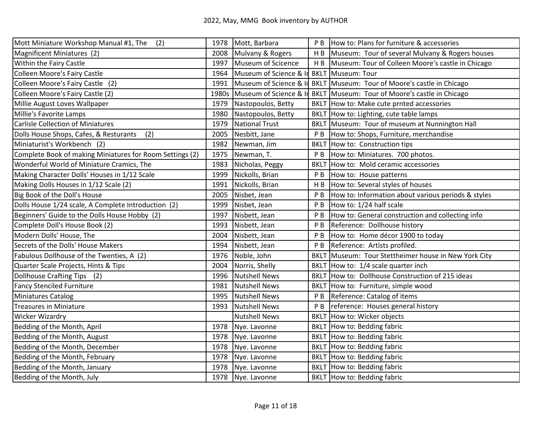| Mott Miniature Workshop Manual #1, The<br>(2)            |       | 1978 Mott, Barbara     | P B            | How to: Plans for furniture & accessories                             |
|----------------------------------------------------------|-------|------------------------|----------------|-----------------------------------------------------------------------|
| Magnificent Miniatures (2)                               | 2008  | Mulvany & Rogers       | HB             | Museum: Tour of several Mulvany & Rogers houses                       |
| Within the Fairy Castle                                  | 1997  | Museum of Scicence     | HB             | Museum: Tour of Colleen Moore's castle in Chicago                     |
| Colleen Moore's Fairy Castle                             | 1964  | Museum of Science & In | <b>BKLT</b>    | Museum: Tour                                                          |
| Colleen Moore's Fairy Castle (2)                         | 1991  |                        |                | Museum of Science & In BKLT Museum: Tour of Moore's castle in Chicago |
| Colleen Moore's Fairy Castle (2)                         | 1980s | Museum of Science & In | <b>BKLT</b>    | Museum: Tour of Moore's castle in Chicago                             |
| Millie August Loves Wallpaper                            | 1979  | Nastopoulos, Betty     | <b>BKLT</b>    | How to: Make cute prnted accessories                                  |
| Millie's Favorite Lamps                                  | 1980  | Nastopoulos, Betty     | <b>BKLT</b>    | How to: Lighting, cute table lamps                                    |
| <b>Carlisle Collection of Miniatures</b>                 | 1979  | <b>National Trust</b>  | <b>BKLT</b>    | Museum: Tour of museum at Nunnington Hall                             |
| Dolls House Shops, Cafes, & Resturants<br>(2)            | 2005  | Nesbitt, Jane          | P <sub>B</sub> | How to: Shops, Furniture, merchandise                                 |
| Miniaturist's Workbench (2)                              | 1982  | Newman, Jim            | <b>BKLT</b>    | How to: Construction tips                                             |
| Complete Book of making Miniatures for Room Settings (2) | 1975  | Newman, T.             | P <sub>B</sub> | How to: Miniatures. 700 photos.                                       |
| Wonderful World of Miniature Cramics, The                | 1983  | Nicholas, Peggy        | <b>BKLT</b>    | How to: Mold ceramic accessories                                      |
| Making Character Dolls' Houses in 1/12 Scale             | 1999  | Nickolls, Brian        | P <sub>B</sub> | How to: House patterns                                                |
| Making Dolls Houses in 1/12 Scale (2)                    | 1991  | Nickolls, Brian        | H <sub>B</sub> | How to: Several styles of houses                                      |
| Big Book of the Doll's House                             | 2005  | Nisbet, Jean           | P <sub>B</sub> | How to: Information about various periods & styles                    |
| Dolls House 1/24 scale, A Complete Introduction (2)      | 1999  | Nisbet, Jean           | P <sub>B</sub> | How to: 1/24 half scale                                               |
| Beginners' Guide to the Dolls House Hobby (2)            | 1997  | Nisbett, Jean          | P <sub>B</sub> | How to: General construction and collecting info                      |
| Complete Doll's House Book (2)                           | 1993  | Nisbett, Jean          | P <sub>B</sub> | Reference: Dollhouse history                                          |
| Modern Dolls' House, The                                 | 2004  | Nisbett, Jean          | P <sub>B</sub> | How to: Home décor 1900 to today                                      |
| Secrets of the Dolls' House Makers                       | 1994  | Nisbett, Jean          | P <sub>B</sub> | Reference: Artists profiled.                                          |
| Fabulous Dollhouse of the Twenties, A (2)                | 1976  | Noble, John            | <b>BKLT</b>    | Museum: Tour Stettheimer house in New York City                       |
| Quarter Scale Projects, Hints & Tips                     | 2004  | Norris, Shelly         | <b>BKLT</b>    | How to: 1/4 scale quarter inch                                        |
| Dollhouse Crafting Tips (2)                              | 1996  | <b>Nutshell News</b>   | <b>BKLT</b>    | How to: Dollhouse Construction of 215 ideas                           |
| <b>Fancy Stenciled Furniture</b>                         | 1981  | <b>Nutshell News</b>   | <b>BKLT</b>    | How to: Furniture, simple wood                                        |
| <b>Miniatures Catalog</b>                                | 1995  | <b>Nutshell News</b>   | P <sub>B</sub> | Reference: Catalog of items                                           |
| <b>Treasures in Miniature</b>                            | 1993  | <b>Nutshell News</b>   | P <sub>B</sub> | reference: Houses general history                                     |
| <b>Wicker Wizardry</b>                                   |       | <b>Nutshell News</b>   | <b>BKLT</b>    | How to: Wicker objects                                                |
| Bedding of the Month, April                              | 1978  | Nye. Lavonne           | <b>BKLT</b>    | How to: Bedding fabric                                                |
| Bedding of the Month, August                             | 1978  | Nye. Lavonne           | <b>BKLT</b>    | How to: Bedding fabric                                                |
| Bedding of the Month, December                           | 1978  | Nye. Lavonne           | <b>BKLT</b>    | How to: Bedding fabric                                                |
| Bedding of the Month, February                           | 1978  | Nye. Lavonne           | <b>BKLT</b>    | How to: Bedding fabric                                                |
| Bedding of the Month, January                            | 1978  | Nye. Lavonne           | <b>BKLT</b>    | How to: Bedding fabric                                                |
| Bedding of the Month, July                               | 1978  | Nye. Lavonne           |                | BKLT How to: Bedding fabric                                           |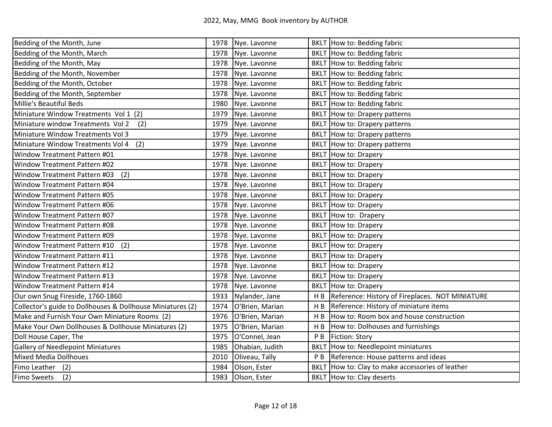| Bedding of the Month, June                                 | 1978 | Nye. Lavonne    |                | BKLT How to: Bedding fabric                     |
|------------------------------------------------------------|------|-----------------|----------------|-------------------------------------------------|
| Bedding of the Month, March                                | 1978 | Nye. Lavonne    |                | BKLT How to: Bedding fabric                     |
| Bedding of the Month, May                                  | 1978 | Nye. Lavonne    | <b>BKLT</b>    | How to: Bedding fabric                          |
| Bedding of the Month, November                             | 1978 | Nye. Lavonne    | <b>BKLT</b>    | How to: Bedding fabric                          |
| Bedding of the Month, October                              | 1978 | Nye. Lavonne    |                | BKLT How to: Bedding fabric                     |
| Bedding of the Month, September                            | 1978 | Nye. Lavonne    | <b>BKLT</b>    | How to: Bedding fabric                          |
| Millie's Beautiful Beds                                    | 1980 | Nye. Lavonne    | <b>BKLT</b>    | How to: Bedding fabric                          |
| Miniature Window Treatments Vol 1 (2)                      | 1979 | Nye. Lavonne    | <b>BKLT</b>    | How to: Drapery patterns                        |
| Miniature window Treatments Vol 2<br>(2)                   | 1979 | Nye. Lavonne    | <b>BKLT</b>    | How to: Drapery patterns                        |
| Miniature Window Treatments Vol 3                          | 1979 | Nye. Lavonne    |                | BKLT How to: Drapery patterns                   |
| Miniature Window Treatments Vol 4<br>(2)                   | 1979 | Nye. Lavonne    | <b>BKLT</b>    | How to: Drapery patterns                        |
| Window Treatment Pattern #01                               | 1978 | Nye. Lavonne    | <b>BKLT</b>    | How to: Drapery                                 |
| Window Treatment Pattern #02                               | 1978 | Nye. Lavonne    | <b>BKLT</b>    | How to: Drapery                                 |
| Window Treatment Pattern #03<br>(2)                        | 1978 | Nye. Lavonne    | <b>BKLT</b>    | How to: Drapery                                 |
| Window Treatment Pattern #04                               | 1978 | Nye. Lavonne    |                | BKLT How to: Drapery                            |
| Window Treatment Pattern #05                               | 1978 | Nye. Lavonne    | <b>BKLT</b>    | How to: Drapery                                 |
| Window Treatment Pattern #06                               | 1978 | Nye. Lavonne    | <b>BKLT</b>    | How to: Drapery                                 |
| Window Treatment Pattern #07                               | 1978 | Nye. Lavonne    | <b>BKLT</b>    | How to: Drapery                                 |
| Window Treatment Pattern #08                               | 1978 | Nye. Lavonne    | <b>BKLT</b>    | How to: Drapery                                 |
| Window Treatment Pattern #09                               | 1978 | Nye. Lavonne    | <b>BKLT</b>    | How to: Drapery                                 |
| Window Treatment Pattern #10<br>(2)                        | 1978 | Nye. Lavonne    | <b>BKLT</b>    | How to: Drapery                                 |
| Window Treatment Pattern #11                               | 1978 | Nye. Lavonne    | <b>BKLT</b>    | How to: Drapery                                 |
| Window Treatment Pattern #12                               | 1978 | Nye. Lavonne    | <b>BKLT</b>    | How to: Drapery                                 |
| Window Treatment Pattern #13                               | 1978 | Nye. Lavonne    | <b>BKLT</b>    | How to: Drapery                                 |
| Window Treatment Pattern #14                               | 1978 | Nye. Lavonne    | <b>BKLT</b>    | How to: Drapery                                 |
| Our own Snug Fireside, 1760-1860                           | 1933 | Nylander, Jane  | H <sub>B</sub> | Reference: History of Fireplaces. NOT MINIATURE |
| Collector's guide to Dollhouses & Dollhouse Miniatures (2) | 1974 | O'Brien, Marian | H B            | Reference: History of miniature items           |
| Make and Furnish Your Own Miniature Rooms (2)              | 1976 | O'Brien, Marian | H B            | How to: Room box and house construction         |
| Make Your Own Dollhouses & Dollhouse Miniatures (2)        | 1975 | O'Brien, Marian | H <sub>B</sub> | How to: Dolhouses and furnishings               |
| Doll House Caper, The                                      | 1975 | O'Connel, Jean  | P B            | Fiction: Story                                  |
| <b>Gallery of Needlepoint Miniatures</b>                   | 1985 | Ohabian, Judith | <b>BKLT</b>    | How to: Needlepoint miniatures                  |
| <b>Mixed Media Dollhoues</b>                               | 2010 | Oliveau, Tally  | P <sub>B</sub> | Reference: House patterns and ideas             |
| Fimo Leather (2)                                           | 1984 | Olson, Ester    | <b>BKLT</b>    | How to: Clay to make accessories of leather     |
| Fimo Sweets<br>(2)                                         | 1983 | Olson, Ester    |                | BKLT How to: Clay deserts                       |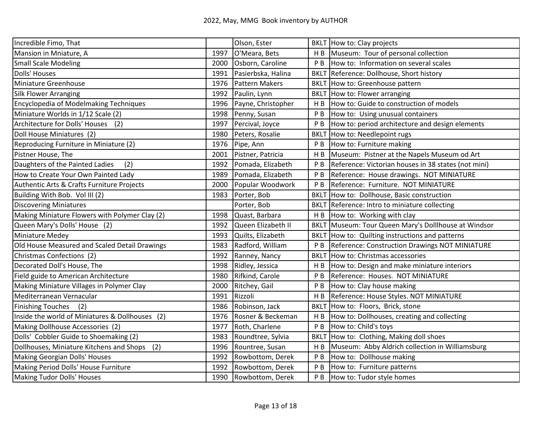| Incredible Fimo, That                           |      | Olson, Ester          |                | BKLT How to: Clay projects                          |
|-------------------------------------------------|------|-----------------------|----------------|-----------------------------------------------------|
| Mansion in Mniature, A                          | 1997 | O'Meara, Bets         | H B            | Museum: Tour of personal collection                 |
| <b>Small Scale Modeling</b>                     | 2000 | Osborn, Caroline      | P <sub>B</sub> | How to: Information on several scales               |
| <b>Dolls' Houses</b>                            | 1991 | Pasierbska, Halina    | <b>BKLT</b>    | Reference: Dollhouse, Short history                 |
| Miniature Greenhouse                            | 1976 | <b>Pattern Makers</b> | <b>BKLT</b>    | How to: Greenhouse pattern                          |
| <b>Silk Flower Arranging</b>                    | 1992 | Paulin, Lynn          | <b>BKLT</b>    | How to: Flower arranging                            |
| <b>Encyclopedia of Modelmaking Techniques</b>   | 1996 | Payne, Christopher    | H B            | How to: Guide to construction of models             |
| Miniature Worlds in 1/12 Scale (2)              | 1998 | Penny, Susan          | P <sub>B</sub> | How to: Using unusual containers                    |
| Architecture for Dolls' Houses (2)              | 1997 | Percival, Joyce       | P <sub>B</sub> | How to: period architecture and design elements     |
| Doll House Miniatures (2)                       | 1980 | Peters, Rosalie       | <b>BKL</b>     | How to: Needlepoint rugs                            |
| Reproducing Furniture in Miniature (2)          | 1976 | Pipe, Ann             | P <sub>B</sub> | How to: Furniture making                            |
| Pistner House, The                              | 2001 | Pistner, Patricia     | H B            | Museum: Pistner at the Napels Museum od Art         |
| Daughters of the Painted Ladies<br>(2)          | 1992 | Pomada, Elizabeth     | P <sub>B</sub> | Reference: Victorian houses in 38 states (not mini) |
| How to Create Your Own Painted Lady             | 1989 | Pomada, Elizabeth     | P B            | Reference: House drawings. NOT MINIATURE            |
| Authentic Arts & Crafts Furniture Projects      | 2000 | Popular Woodwork      | P <sub>B</sub> | Reference: Furniture. NOT MINIATURE                 |
| Building With Bob. Vol III (2)                  | 1983 | Porter, Bob           | <b>BKLT</b>    | How to: Dollhouse, Basic construction               |
| <b>Discovering Miniatures</b>                   |      | Porter, Bob           | <b>BKLT</b>    | Reference: Intro to miniature collecting            |
| Making Miniature Flowers with Polymer Clay (2)  | 1998 | Quast, Barbara        | H B            | How to: Working with clay                           |
| Queen Mary's Dolls' House (2)                   | 1992 | Queen Elizabeth II    | <b>BKLT</b>    | Museum: Tour Queen Mary's Dolllhouse at Windsor     |
| <b>Miniature Medey</b>                          | 1993 | Quilts, Elizabeth     | <b>BKLT</b>    | How to: Quilting instructions and patterns          |
| Old House Measured and Scaled Detail Drawings   | 1983 | Radford, William      | P <sub>B</sub> | Reference: Construction Drawings NOT MINIATURE      |
| Christmas Confections (2)                       | 1992 | Ranney, Nancy         | <b>BKLT</b>    | How to: Christmas accessories                       |
| Decorated Doll's House, The                     | 1998 | Ridley, Jessica       | H <sub>B</sub> | How to: Design and make miniature interiors         |
| Field guide to American Architecture            | 1980 | Rifkind, Carole       | P <sub>B</sub> | Reference: Houses. NOT MINIATURE                    |
| Making Miniature Villages in Polymer Clay       | 2000 | Ritchey, Gail         | P <sub>B</sub> | How to: Clay house making                           |
| Mediterranean Vernacular                        | 1991 | Rizzoli               | H B            | Reference: House Styles. NOT MINIATURE              |
| <b>Finishing Touches</b><br>(2)                 | 1986 | Robinson, Jack        | <b>BKLT</b>    | How to: Floors, Brick, stone                        |
| Inside the world of Miniatures & Dollhouses (2) | 1976 | Rosner & Beckeman     | H B            | How to: Dollhouses, creating and collecting         |
| Making Dollhouse Accessories (2)                | 1977 | Roth, Charlene        | P <sub>B</sub> | How to: Child's toys                                |
| Dolls' Cobbler Guide to Shoemaking (2)          | 1983 | Roundtree, Sylvia     | <b>BKLT</b>    | How to: Clothing, Making doll shoes                 |
| Dollhouses, Miniature Kitchens and Shops<br>(2) | 1996 | Rountree, Susan       | H B            | Museum: Abby Aldrich collection in Williamsburg     |
| Making Georgian Dolls' Houses                   | 1992 | Rowbottom, Derek      | P B            | How to: Dollhouse making                            |
| Making Period Dolls' House Furniture            | 1992 | Rowbottom, Derek      | P <sub>B</sub> | How to: Furniture patterns                          |
| Making Tudor Dolls' Houses                      | 1990 | Rowbottom, Derek      | P <sub>B</sub> | How to: Tudor style homes                           |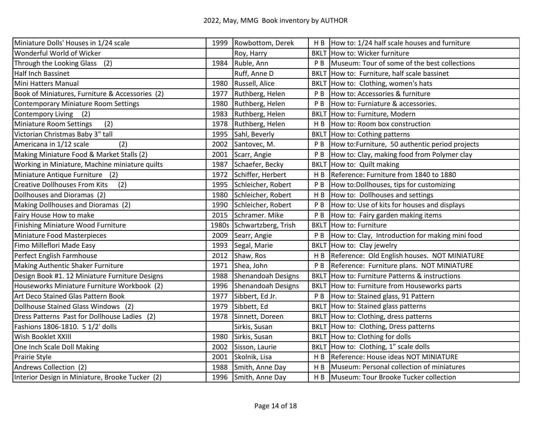| Miniature Dolls' Houses in 1/24 scale           | 1999  | Rowbottom, Derek          |                | $H B$ How to: 1/24 half scale houses and furniture    |
|-------------------------------------------------|-------|---------------------------|----------------|-------------------------------------------------------|
| Wonderful World of Wicker                       |       | Roy, Harry                |                | <b>BKLT</b> How to: Wicker furniture                  |
| Through the Looking Glass (2)                   | 1984  | Ruble, Ann                | P <sub>B</sub> | Museum: Tour of some of the best collections          |
| Half Inch Bassinet                              |       | Ruff, Anne D              |                | BKLT How to: Furniture, half scale bassinet           |
| Mini Hatters Manual                             | 1980  | Russell, Alice            |                | BKLT How to: Clothing, women's hats                   |
| Book of Miniatures, Furniture & Accessories (2) | 1977  | Ruthberg, Helen           | P <sub>B</sub> | How to: Accessories & furniture                       |
| Contemporary Miniature Room Settings            | 1980  | Ruthberg, Helen           | РB             | How to: Furniature & accessories.                     |
| <b>Contempory Living</b><br>(2)                 | 1983  | Ruthberg, Helen           | <b>BKLT</b>    | How to: Furniture, Modern                             |
| (2)<br>Miniature Room Settings                  | 1978  | Ruthberg, Helen           | H <sub>B</sub> | How to: Room box construction                         |
| Victorian Christmas Baby 3" tall                | 1995  | Sahl, Beverly             |                | BKLT How to: Cothing patterns                         |
| Americana in 1/12 scale<br>(2)                  | 2002  | Santovec, M.              | P <sub>B</sub> | How to: Furniture, 50 authentic period projects       |
| Making Miniature Food & Market Stalls (2)       | 2001  | Scarr, Angie              | P <sub>B</sub> | How to: Clay, making food from Polymer clay           |
| Working in Miniature, Machine miniature quilts  | 1987  | Schaefer, Becky           | <b>BKLT</b>    | How to: Quilt making                                  |
| Miniature Antique Furniture (2)                 | 1972  | Schiffer, Herbert         | H <sub>B</sub> | Reference: Furniture from 1840 to 1880                |
| <b>Creative Dollhouses From Kits</b><br>(2)     | 1995  | Schleicher, Robert        | P <sub>B</sub> | How to: Dollhouses, tips for customizing              |
| Dollhouses and Dioramas (2)                     | 1980  | Schleicher, Robert        | H <sub>B</sub> | How to: Dollhouses and settings                       |
| Making Dollhouses and Dioramas (2)              | 1990  | Schleicher, Robert        | РB             | How to: Use of kits for houses and displays           |
| Fairy House How to make                         | 2015  | Schramer. Mike            | P <sub>B</sub> | How to: Fairy garden making items                     |
| Finishing Miniature Wood Furniture              | 1980s | Schwartzberg, Trish       | <b>BKLT</b>    | How to: Furniture                                     |
| Miniature Food Masterpieces                     | 2009  | Searr, Angie              | P <sub>B</sub> | How to: Clay, Introduction for making mini food       |
| Fimo Milleflori Made Easy                       | 1993  | Segal, Marie              |                | BKLT How to: Clay jewelry                             |
| Perfect English Farmhouse                       | 2012  | Shaw, Ros                 | H B            | Reference: Old English houses. NOT MINIATURE          |
| Making Authentic Shaker Furniture               | 1971  | Shea, John                | P <sub>B</sub> | Reference: Furniture plans. NOT MINIATURE             |
| Design Book #1. 12 Miniature Furniture Designs  | 1988  | <b>Shenandoah Designs</b> |                | <b>BKLT</b> How to: Furniture Patterns & instructions |
| Houseworks Miniature Furniture Workbook (2)     | 1996  | <b>Shenandoah Designs</b> |                | BKLT How to: Furniture from Houseworks parts          |
| Art Deco Stained Glas Pattern Book              | 1977  | Sibbert, Ed Jr.           | P <sub>B</sub> | How to: Stained glass, 91 Pattern                     |
| Dollhouse Stained Glass Windows (2)             | 1979  | Sibbett, Ed               |                | BKLT   How to: Stained glass patterns                 |
| Dress Patterns Past for Dollhouse Ladies (2)    | 1978  | Sinnett, Doreen           |                | BKLT How to: Clothing, dress patterns                 |
| Fashions 1806-1810. 5 1/2' dolls                |       | Sirkis, Susan             |                | BKLT How to: Clothing, Dress patterns                 |
| Wish Booklet XXIII                              | 1980  | Sirkis, Susan             |                | BKLT How to: Clothing for dolls                       |
| One Inch Scale Doll Making                      | 2002  | Sisson, Laurie            |                | BKLT How to: Clothing, 1" scale dolls                 |
| Prairie Style                                   | 2001  | Skolnik, Lisa             | H B            | Reference: House ideas NOT MINIATURE                  |
| Andrews Collection (2)                          | 1988  | Smith, Anne Day           | H B            | Museum: Personal collection of miniatures             |
| Interior Design in Miniature, Brooke Tucker (2) |       | 1996 Smith, Anne Day      | H <sub>B</sub> | Museum: Tour Brooke Tucker collection                 |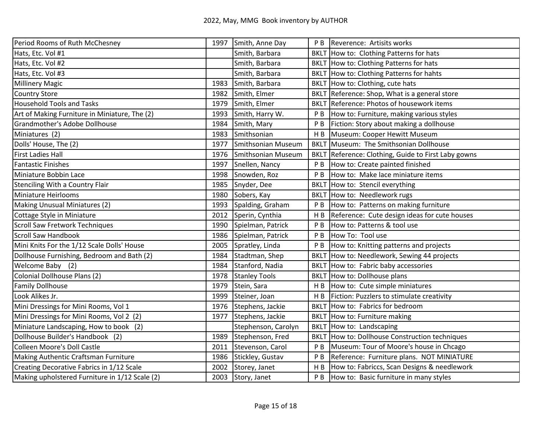| Period Rooms of Ruth McChesney                 | 1997 | Smith, Anne Day           | P B            | Reverence: Artisits works                      |
|------------------------------------------------|------|---------------------------|----------------|------------------------------------------------|
| Hats, Etc. Vol #1                              |      | Smith, Barbara            |                | BKLT How to: Clothing Patterns for hats        |
| Hats, Etc. Vol #2                              |      | Smith, Barbara            |                | BKLT How to: Clothing Patterns for hats        |
| Hats, Etc. Vol #3                              |      | Smith, Barbara            |                | BKLT How to: Clothing Patterns for hahts       |
| <b>Millinery Magic</b>                         | 1983 | Smith, Barbara            |                | BKLT How to: Clothing, cute hats               |
| <b>Country Store</b>                           | 1982 | Smith, Elmer              | <b>BKLT</b>    | Reference: Shop, What is a general store       |
| <b>Household Tools and Tasks</b>               | 1979 | Smith, Elmer              | <b>BKLT</b>    | Reference: Photos of housework items           |
| Art of Making Furniture in Miniature, The (2)  | 1993 | Smith, Harry W.           | P <sub>B</sub> | How to: Furniture, making various styles       |
| Grandmother's Adobe Dollhouse                  | 1984 | Smith, Mary               | P <sub>B</sub> | Fiction: Story about making a dollhouse        |
| Miniatures (2)                                 | 1983 | Smithsonian               | H B            | Museum: Cooper Hewitt Museum                   |
| Dolls' House, The (2)                          | 1977 | Smithsonian Museum        | <b>BKLT</b>    | Museum: The Smithsonian Dollhouse              |
| <b>First Ladies Hall</b>                       | 1976 | <b>Smithsonian Museum</b> | <b>BKLT</b>    | Reference: Clothing, Guide to First Laby gowns |
| <b>Fantastic Finishes</b>                      | 1997 | Snellen, Nancy            | P <sub>B</sub> | How to: Create painted finished                |
| Miniature Bobbin Lace                          | 1998 | Snowden, Roz              | P <sub>B</sub> | How to: Make lace miniature items              |
| <b>Stenciling With a Country Flair</b>         | 1985 | Snyder, Dee               | <b>BKLT</b>    | How to: Stencil everything                     |
| Miniature Heirlooms                            | 1980 | Sobers, Kay               | <b>BKLT</b>    | How to: Needlework rugs                        |
| Making Unusual Miniatures (2)                  | 1993 | Spalding, Graham          | P <sub>B</sub> | How to: Patterns on making furniture           |
| Cottage Style in Miniature                     | 2012 | Sperin, Cynthia           | H B            | Reference: Cute design ideas for cute houses   |
| <b>Scroll Saw Fretwork Techniques</b>          | 1990 | Spielman, Patrick         | P <sub>B</sub> | How to: Patterns & tool use                    |
| <b>Scroll Saw Handbook</b>                     | 1986 | Spielman, Patrick         | P <sub>B</sub> | How To: Tool use                               |
| Mini Knits For the 1/12 Scale Dolls' House     | 2005 | Spratley, Linda           | P <sub>B</sub> | How to: Knitting patterns and projects         |
| Dollhouse Furnishing, Bedroom and Bath (2)     | 1984 | Stadtman, Shep            | <b>BKLT</b>    | How to: Needlework, Sewing 44 projects         |
| Welcome Baby (2)                               | 1984 | Stanford, Nadia           | <b>BKLT</b>    | How to: Fabric baby accessories                |
| Colonial Dollhouse Plans (2)                   | 1978 | <b>Stanley Tools</b>      | <b>BKLT</b>    | How to: Dollhouse plans                        |
| <b>Family Dollhouse</b>                        | 1979 | Stein, Sara               | H <sub>B</sub> | How to: Cute simple miniatures                 |
| Look Alikes Jr.                                | 1999 | Steiner, Joan             | H B            | Fiction: Puzzlers to stimulate creativity      |
| Mini Dressings for Mini Rooms, Vol 1           | 1976 | Stephens, Jackie          | <b>BKLT</b>    | How to: Fabrics for bedroom                    |
| Mini Dressings for Mini Rooms, Vol 2 (2)       | 1977 | Stephens, Jackie          | <b>BKLT</b>    | How to: Furniture making                       |
| Miniature Landscaping, How to book (2)         |      | Stephenson, Carolyn       | <b>BKLT</b>    | How to: Landscaping                            |
| Dollhouse Builder's Handbook (2)               | 1989 | Stephenson, Fred          | <b>BKLT</b>    | How to: Dollhouse Construction techniques      |
| <b>Colleen Moore's Doll Castle</b>             | 2011 | Stevenson, Carol          | P <sub>B</sub> | Museum: Tour of Moore's house in Chcago        |
| Making Authentic Craftsman Furniture           | 1986 | Stickley, Gustav          | P <sub>B</sub> | Reference: Furniture plans. NOT MINIATURE      |
| Creating Decorative Fabrics in 1/12 Scale      | 2002 | Storey, Janet             | H <sub>B</sub> | How to: Fabriccs, Scan Designs & needlework    |
| Making upholstered Furniture in 1/12 Scale (2) | 2003 | Story, Janet              | P <sub>B</sub> | How to: Basic furniture in many styles         |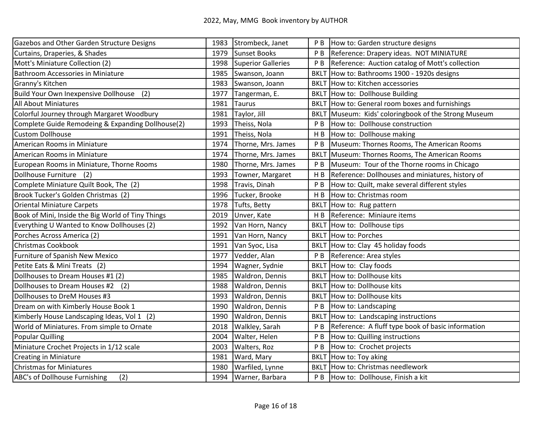| Gazebos and Other Garden Structure Designs        | 1983 | Strombeck, Janet          | P B            | How to: Garden structure designs                  |
|---------------------------------------------------|------|---------------------------|----------------|---------------------------------------------------|
| Curtains, Draperies, & Shades                     | 1979 | Sunset Books              | P <sub>B</sub> | Reference: Drapery ideas. NOT MINIATURE           |
| Mott's Miniature Collection (2)                   | 1998 | <b>Superior Galleries</b> | РB             | Reference: Auction catalog of Mott's collection   |
| <b>Bathroom Accessories in Miniature</b>          | 1985 | Swanson, Joann            | <b>BKLT</b>    | How to: Bathrooms 1900 - 1920s designs            |
| Granny's Kitchen                                  | 1983 | Swanson, Joann            |                | <b>BKLT</b> How to: Kitchen accessories           |
| Build Your Own Inexpensive Dollhouse<br>(2)       | 1977 | Tangerman, E.             | <b>BKLT</b>    | How to: Dollhouse Building                        |
| <b>All About Miniatures</b>                       | 1981 | <b>Taurus</b>             | <b>BKLT</b>    | How to: General room boxes and furnishings        |
| Colorful Journey through Margaret Woodbury        | 1981 | Taylor, Jill              | <b>BKLT</b>    | Museum: Kids' coloringbook of the Strong Museum   |
| Complete Guide Remodeing & Expanding Dollhouse(2) | 1993 | Theiss, Nola              | P <sub>B</sub> | How to: Dollhouse construction                    |
| <b>Custom Dollhouse</b>                           | 1991 | Theiss, Nola              | H <sub>B</sub> | How to: Dollhouse making                          |
| American Rooms in Miniature                       | 1974 | Thorne, Mrs. James        | P <sub>B</sub> | Museum: Thornes Rooms, The American Rooms         |
| American Rooms in Miniature                       | 1974 | Thorne, Mrs. James        | <b>BKLT</b>    | Museum: Thornes Rooms, The American Rooms         |
| European Rooms in Miniature, Thorne Rooms         | 1980 | Thorne, Mrs. James        | P <sub>B</sub> | Museum: Tour of the Thorne rooms in Chicago       |
| Dollhouse Furniture (2)                           | 1993 | Towner, Margaret          | H <sub>B</sub> | Reference: Dollhouses and miniatures, history of  |
| Complete Miniature Quilt Book, The (2)            | 1998 | Travis, Dinah             | P <sub>B</sub> | How to: Quilt, make several different styles      |
| Brook Tucker's Golden Christmas (2)               | 1996 | Tucker, Brooke            | H B            | How to: Christmas room                            |
| <b>Oriental Miniature Carpets</b>                 | 1978 | Tufts, Betty              | <b>BKLT</b>    | How to: Rug pattern                               |
| Book of Mini, Inside the Big World of Tiny Things | 2019 | Unver, Kate               | H B            | Reference: Miniaure items                         |
| Everything U Wanted to Know Dollhouses (2)        | 1992 | Van Horn, Nancy           | <b>BKLT</b>    | How to: Dollhouse tips                            |
| Porches Across America (2)                        | 1991 | Van Horn, Nancy           |                | <b>BKLT</b> How to: Porches                       |
| <b>Christmas Cookbook</b>                         | 1991 | Van Syoc, Lisa            |                | BKLT How to: Clay 45 holiday foods                |
| Furniture of Spanish New Mexico                   | 1977 | Vedder, Alan              | P B            | Reference: Area styles                            |
| Petite Eats & Mini Treats (2)                     | 1994 | Wagner, Sydnie            | <b>BKLT</b>    | How to: Clay foods                                |
| Dollhouses to Dream Houses #1 (2)                 | 1985 | <b>Waldron, Dennis</b>    | <b>BKLT</b>    | How to: Dollhouse kits                            |
| Dollhouses to Dream Houses #2<br>(2)              | 1988 | Waldron, Dennis           |                | BKLT How to: Dollhouse kits                       |
| Dollhouses to DreM Houses #3                      | 1993 | <b>Waldron, Dennis</b>    | <b>BKLT</b>    | How to: Dollhouse kits                            |
| Dream on with Kimberly House Book 1               | 1990 | Waldron, Dennis           | P <sub>B</sub> | How to: Landscaping                               |
| Kimberly House Landscaping Ideas, Vol 1 (2)       | 1990 | Waldron, Dennis           | <b>BKL1</b>    | How to: Landscaping instructions                  |
| World of Miniatures. From simple to Ornate        | 2018 | Walkley, Sarah            | P <sub>B</sub> | Reference: A fluff type book of basic information |
| <b>Popular Quilling</b>                           | 2004 | Walter, Helen             | P <sub>B</sub> | How to: Quilling instructions                     |
| Miniature Crochet Projects in 1/12 scale          | 2003 | Walters, Roz              | P <sub>B</sub> | How to: Crochet projects                          |
| <b>Creating in Miniature</b>                      | 1981 | Ward, Mary                | <b>BKLT</b>    | How to: Toy aking                                 |
| <b>Christmas for Miniatures</b>                   | 1980 | Warfiled, Lynne           | <b>BKLT</b>    | How to: Christmas needlework                      |
| <b>ABC's of Dollhouse Furnishing</b><br>(2)       | 1994 | Warner, Barbara           | P <sub>B</sub> | How to: Dollhouse, Finish a kit                   |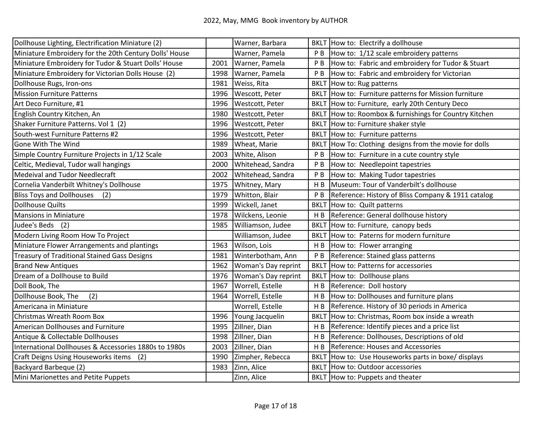| Dollhouse Lighting, Electrification Miniature (2)      |      | Warner, Barbara     |                | BKLT How to: Electrify a dollhouse                 |
|--------------------------------------------------------|------|---------------------|----------------|----------------------------------------------------|
| Miniature Embroidery for the 20th Century Dolls' House |      | Warner, Pamela      | ΡB             | How to: 1/12 scale embroidery patterns             |
| Miniature Embroidery for Tudor & Stuart Dolls' House   | 2001 | Warner, Pamela      | P <sub>B</sub> | How to: Fabric and embroidery for Tudor & Stuart   |
| Miniature Embroidery for Victorian Dolls House (2)     | 1998 | Warner, Pamela      | P <sub>B</sub> | How to: Fabric and embroidery for Victorian        |
| Dollhouse Rugs, Iron-ons                               | 1981 | Weiss, Rita         | <b>BKLT</b>    | How to: Rug patterns                               |
| <b>Mission Furniture Patterns</b>                      | 1996 | Wescott, Peter      | <b>BKLT</b>    | How to: Furniture patterns for Mission furniture   |
| Art Deco Furniture, #1                                 | 1996 | Westcott, Peter     | <b>BKLT</b>    | How to: Furniture, early 20th Century Deco         |
| English Country Kitchen, An                            | 1980 | Westcott, Peter     | <b>BKLT</b>    | How to: Roombox & furnishings for Country Kitchen  |
| Shaker Furniture Patterns. Vol 1 (2)                   | 1996 | Westcott, Peter     | <b>BKLT</b>    | How to: Furniture shaker style                     |
| South-west Furniture Patterns #2                       | 1996 | Westcott, Peter     |                | BKLT How to: Furniture patterns                    |
| Gone With The Wind                                     | 1989 | Wheat, Marie        | <b>BKLT</b>    | How To: Clothing designs from the movie for dolls  |
| Simple Country Furniture Projects in 1/12 Scale        | 2003 | White, Alison       | P <sub>B</sub> | How to: Furniture in a cute country style          |
| Celtic, Medieval, Tudor wall hangings                  | 2000 | Whitehead, Sandra   | P <sub>B</sub> | How to: Needlepoint tapestries                     |
| <b>Medeival and Tudor Needlecraft</b>                  | 2002 | Whitehead, Sandra   | P <sub>B</sub> | How to: Making Tudor tapestries                    |
| Cornelia Vanderbilt Whitney's Dollhouse                | 1975 | Whitney, Mary       | H <sub>B</sub> | Museum: Tour of Vanderbilt's dollhouse             |
| <b>Bliss Toys and Dollhouses</b><br>(2)                | 1979 | Whitton, Blair      | P <sub>B</sub> | Reference: History of Bliss Company & 1911 catalog |
| <b>Dollhouse Quilts</b>                                | 1999 | Wickell, Janet      | <b>BKLT</b>    | How to: Quilt patterns                             |
| <b>Mansions in Miniature</b>                           | 1978 | Wilckens, Leonie    | H B            | Reference: General dollhouse history               |
| Judee's Beds<br>(2)                                    | 1985 | Williamson, Judee   | <b>BKLT</b>    | How to: Furniture, canopy beds                     |
| Modern Living Room How To Project                      |      | Williamson, Judee   | <b>BKLT</b>    | How to: Paterns for modern furniture               |
| Miniature Flower Arrangements and plantings            | 1963 | Wilson, Lois        | H <sub>B</sub> | How to: Flower arranging                           |
| <b>Treasury of Traditional Stained Gass Designs</b>    | 1981 | Winterbotham, Ann   | P B            | Reference: Stained glass patterns                  |
| <b>Brand New Antiques</b>                              | 1962 | Woman's Day reprint | <b>BKLT</b>    | How to: Patterns for accessories                   |
| Dream of a Dollhouse to Build                          | 1976 | Woman's Day reprint | <b>BKLT</b>    | How to: Dollhouse plans                            |
| Doll Book, The                                         | 1967 | Worrell, Estelle    | H B            | Reference: Doll hostory                            |
| Dollhouse Book, The<br>(2)                             | 1964 | Worrell, Estelle    | H B            | How to: Dollhouses and furniture plans             |
| Americana in Miniature                                 |      | Worrell, Estelle    | H <sub>B</sub> | Reference. History of 30 periods in America        |
| Christmas Wreath Room Box                              | 1996 | Young Jacquelin     | <b>BKL1</b>    | How to: Christmas, Room box inside a wreath        |
| American Dollhouses and Furniture                      | 1995 | Zillner, Dian       | H <sub>B</sub> | Reference: Identify pieces and a price list        |
| Antique & Collectable Dollhouses                       | 1998 | Zillner, Dian       | H B            | Reference: Dollhouses, Descriptions of old         |
| International Dollhouses & Accessories 1880s to 1980s  | 2003 | Zillner, Dian       | H B            | Reference: Houses and Accessories                  |
| Craft Deigns Using Houseworks items<br>(2)             | 1990 | Zimpher, Rebecca    | <b>BKLT</b>    | How to: Use Houseworks parts in boxe/ displays     |
| Backyard Barbeque (2)                                  | 1983 | Zinn, Alice         | <b>BKLT</b>    | How to: Outdoor accessories                        |
| Mini Marionettes and Petite Puppets                    |      | Zinn, Alice         |                | BKLT How to: Puppets and theater                   |